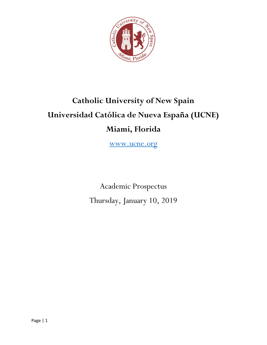

# Catholic University of New Spain Universidad Católica de Nueva España (UCNE) Miami, Florida

www.ucne.org

Academic Prospectus Thursday, January 10, 2019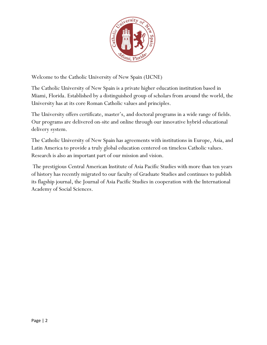

Welcome to the Catholic University of New Spain (UCNE)

The Catholic University of New Spain is a private higher education institution based in Miami, Florida. Established by a distinguished group of scholars from around the world, the University has at its core Roman Catholic values and principles.

The University offers certificate, master's, and doctoral programs in a wide range of fields. Our programs are delivered on-site and online through our innovative hybrid educational delivery system.

The Catholic University of New Spain has agreements with institutions in Europe, Asia, and Latin America to provide a truly global education centered on timeless Catholic values. Research is also an important part of our mission and vision.

 The prestigious Central American Institute of Asia Pacific Studies with more than ten years of history has recently migrated to our faculty of Graduate Studies and continues to publish its flagship journal, the Journal of Asia Pacific Studies in cooperation with the International Academy of Social Sciences.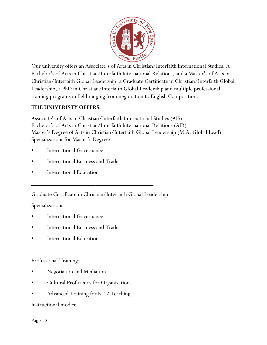

Our university offers an Associate's of Arts in Christian/Interfaith International Studies, A Bachelor's of Arts in Christian/Interfaith International Relations, and a Master's of Arts in Christian/Interfaith Global Leadership, a Graduate Certificate in Christian/Interfaith Global Leadership, a PhD in Christian/Interfaith Global Leadership and multiple professional training programs in field ranging from negotiation to English Composition.

## THE UNIVERISTY OFFERS:

Associate's of Arts in Christian/Interfaith International Studies (AIS) Bachelor's of Arts in Christian/Interfaith International Relations (AIR) Master's Degree of Arts in Christian/Interfaith Global Leadership (M.A. Global Lead) Specializations for Master's Degree:

- **International Governance**
- International Business and Trade
- International Education

Graduate Certificate in Christian/Interfaith Global Leadership

\_\_\_\_\_\_\_\_\_\_\_\_\_\_\_\_\_\_\_\_\_\_\_\_\_\_\_\_\_\_\_\_\_\_\_\_\_\_\_\_

\_\_\_\_\_\_\_\_\_\_\_\_\_\_\_\_\_\_\_\_\_\_\_\_\_\_\_\_\_\_\_\_\_\_\_\_\_\_\_\_

Specializations:

- International Governance
- International Business and Trade
- **International Education**

### Professional Training:

- Negotiation and Mediation
- Cultural Proficiency for Organizations
- Advanced Training for K-12 Teaching

### Instructional modes: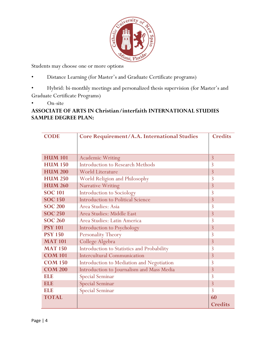

Students may choose one or more options

- Distance Learning (for Master's and Graduate Certificate programs)
- Hybrid: bi-monthly meetings and personalized thesis supervision (for Master's and Graduate Certificate Programs)
- On-site

# ASSOCIATE OF ARTS IN Christian/interfaith INTERNATIONAL STUDIES SAMPLE DEGREE PLAN:

| <b>CODE</b>    | Core Requirement/A.A. International Studies | <b>Credits</b> |
|----------------|---------------------------------------------|----------------|
|                |                                             |                |
|                |                                             |                |
| <b>HUM 101</b> | <b>Academic Writing</b>                     | $\overline{3}$ |
| <b>HUM 150</b> | <b>Introduction to Research Methods</b>     | 3              |
| <b>HUM 200</b> | <b>World Literature</b>                     | $\overline{3}$ |
| <b>HUM 250</b> | World Religion and Philosophy               | 3              |
| <b>HUM 260</b> | Narrative Writing                           | $\overline{3}$ |
| <b>SOC 101</b> | Introduction to Sociology                   | 3              |
| <b>SOC 150</b> | <b>Introduction to Political Science</b>    | $\overline{3}$ |
| <b>SOC 200</b> | Area Studies: Asia                          | 3              |
| <b>SOC 250</b> | Area Studies: Middle East                   | $\overline{3}$ |
| <b>SOC 260</b> | Area Studies: Latin America                 | $\overline{3}$ |
| <b>PSY 101</b> | Introduction to Psychology                  | $\overline{3}$ |
| <b>PSY 150</b> | <b>Personality Theory</b>                   | 3              |
| <b>MAT 101</b> | College Algebra                             | 3              |
| <b>MAT 150</b> | Introduction to Statistics and Probability  | 3              |
| <b>COM 101</b> | <b>Intercultural Communication</b>          | 3              |
| <b>COM 150</b> | Introduction to Mediation and Negotiation   | 3              |
| <b>COM 200</b> | Introduction to Journalism and Mass Media   | $\overline{3}$ |
| ELE            | Special Seminar                             | 3              |
| <b>ELE</b>     | <b>Special Seminar</b>                      | $\overline{3}$ |
| ELE            | <b>Special Seminar</b>                      | 3              |
| <b>TOTAL</b>   |                                             | 60             |
|                |                                             | <b>Credits</b> |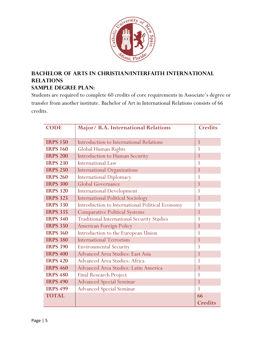

# BACHELOR OF ARTS IN CHRISTIAN/INTERFAITH INTERNATIONAL RELATIONS

# Sample degree plan:

Students are required to complete 60 credits of core requirements in Associate's degree or transfer from another institute. Bachelor of Art in International Relations consists of 66 credits.

| <b>CODE</b>     | Major/ B.A. International Relations               | <b>Credits</b> |
|-----------------|---------------------------------------------------|----------------|
|                 |                                                   |                |
| <b>IRPS 150</b> | Introduction to International Relations           | $\overline{3}$ |
| <b>IRPS 160</b> | Global Human Rights                               | $\overline{3}$ |
| <b>IRPS 200</b> | <b>Introduction to Human Security</b>             | $\overline{3}$ |
| <b>IRPS 230</b> | <b>International Law</b>                          | $\overline{3}$ |
| <b>IRPS 250</b> | <b>International Organizations</b>                | $\overline{3}$ |
| <b>IRPS 260</b> | <b>International Diplomacy</b>                    | $\overline{3}$ |
| <b>IRPS 300</b> | <b>Global Governance</b>                          | $\overline{3}$ |
| <b>IRPS 320</b> | <b>International Development</b>                  | $\overline{3}$ |
| <b>IRPS 325</b> | <b>International Political Sociology</b>          | $\overline{3}$ |
| <b>IRPS 330</b> | Introduction to International Political Economy   | 3              |
| <b>IRPS 335</b> | <b>Comparative Political Systems</b>              | 3              |
| <b>IRPS 340</b> | <b>Traditional International Security Studies</b> | $\overline{3}$ |
| <b>IRPS 350</b> | <b>American Foreign Policy</b>                    | 3              |
| <b>IRPS 360</b> | Introduction to the European Union                | $\overline{3}$ |
| <b>IRPS 380</b> | <b>International Terrorism</b>                    | $\overline{3}$ |
| <b>IRPS 390</b> | <b>Environmental Security</b>                     | $\overline{3}$ |
| <b>IRPS 400</b> | Advanced Area Studies: East Asia                  | 3              |
| <b>IRPS 420</b> | Advanced Area Studies: Africa                     | $\overline{3}$ |
| <b>IRPS 460</b> | Advanced Area Studies: Latin America              | $\overline{3}$ |
| <b>IRPS 480</b> | <b>Final Research Project</b>                     | $\overline{3}$ |
| <b>IRPS 490</b> | <b>Advanced Special Seminar</b>                   | $\overline{3}$ |
| <b>IRPS 499</b> | <b>Advanced Special Seminar</b>                   | 3              |
| <b>TOTAL</b>    |                                                   | 66             |
|                 |                                                   | <b>Credits</b> |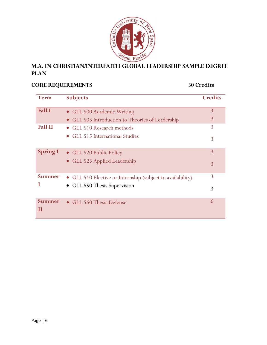

# M.A. in Christian/interfaith Global Leadership sample Degree **PLAN**

# CORE REQUIREMENTS 30 Credits

| <b>Term</b>                | <b>Subjects</b>                                            | <b>Credits</b> |
|----------------------------|------------------------------------------------------------|----------------|
| <b>Fall I</b>              | • GLL 500 Academic Writing                                 | $\overline{3}$ |
|                            | • GLL 505 Introduction to Theories of Leadership           | 3              |
| <b>Fall II</b>             | • GLL 510 Research methods                                 | 3              |
|                            | • GLL 515 International Studies                            | 3              |
| <b>Spring I</b>            | • GLL 520 Public Policy                                    | 3              |
|                            | • GLL 525 Applied Leadership                               | 3              |
| <b>Summer</b>              | • GLL 540 Elective or Internship (subject to availability) | 3              |
|                            | • GLL 550 Thesis Supervision                               | 3              |
| <b>Summer</b><br>$\bf{II}$ | • GLL 560 Thesis Defense                                   | 6              |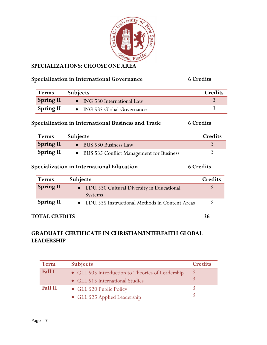

### SPECIALIZATIONS: CHOOSE ONE AREA

# Specialization in International Governance 6 Credits

| <b>Terms</b>     | <b>Subjects</b>             | Credits |
|------------------|-----------------------------|---------|
| <b>Spring II</b> | • ING 530 International Law |         |
| <b>Spring II</b> | • ING 535 Global Governance |         |

## Specialization in International Business and Trade 6 Credits

| <b>Terms</b>     | <b>Subjects</b>                            | Credits |
|------------------|--------------------------------------------|---------|
| <b>Spring II</b> | • BUS 530 Business Law                     |         |
| <b>Spring II</b> | • BUS 535 Conflict Management for Business |         |

# Specialization in International Education 6 Credits

| <b>Terms</b>     | <b>Subjects</b>                                  | Credits |
|------------------|--------------------------------------------------|---------|
| <b>Spring II</b> | • EDU 530 Cultural Diversity in Educational      |         |
|                  | <b>Systems</b>                                   |         |
| <b>Spring II</b> | • EDU 535 Instructional Methods in Content Areas |         |

### TOTAL CREDITS 36

# Graduate certificate in Christian/interfaith global **LEADERSHIP**

| <b>Term</b>    | <b>Subjects</b>                                  | <b>Credits</b> |
|----------------|--------------------------------------------------|----------------|
| <b>Fall I</b>  | • GLL 505 Introduction to Theories of Leadership |                |
|                | • GLL 515 International Studies                  |                |
| <b>Fall II</b> | • GLL 520 Public Policy                          |                |
|                | • GLL 525 Applied Leadership                     |                |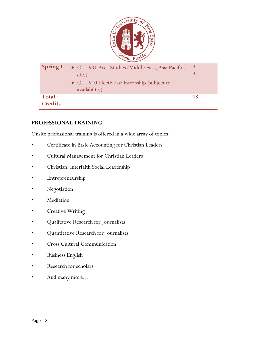

### PROFESSIONAL TRAINING

Onsite professional training is offered in a wide array of topics.

- Certificate in Basic Accounting for Christian Leaders
- Cultural Management for Christian Leaders
- Christian/Interfaith Social Leadership
- Entrepreneurship
- Negotiation
- **Mediation**
- Creative Writing
- Qualitative Research for Journalists
- Quantitative Research for Journalists
- Cross Cultural Communication
- Business English
- Research for scholars
- And many more…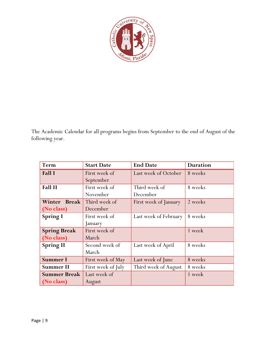

The Academic Calendar for all programs begins from September to the end of August of the following year.

| Term                | <b>Start Date</b>  | <b>End Date</b>       | <b>Duration</b> |
|---------------------|--------------------|-----------------------|-----------------|
| Fall I              | First week of      | Last week of October  | 8 weeks         |
|                     | September          |                       |                 |
| <b>Fall II</b>      | First week of      | Third week of         | 8 weeks         |
|                     | November           | December              |                 |
| <b>Winter Break</b> | Third week of      | First week of January | 2 weeks         |
| (No class)          | December           |                       |                 |
| <b>Spring I</b>     | First week of      | Last week of February | 8 weeks         |
|                     | January            |                       |                 |
| <b>Spring Break</b> | First week of      |                       | 1 week          |
| (No class)          | March              |                       |                 |
| <b>Spring II</b>    | Second week of     | Last week of April    | 8 weeks         |
|                     | March              |                       |                 |
| <b>Summer I</b>     | First week of May  | Last week of June     | 8 weeks         |
| <b>Summer II</b>    | First week of July | Third week of August  | 8 weeks         |
| <b>Summer Break</b> | Last week of       |                       | 1 week          |
| (No class)          | August             |                       |                 |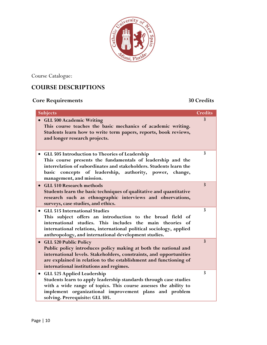

Course Catalogue:

# COURSE DESCRIPTIONS

# Core Requirements 30 Credits

| <b>Subjects</b>                                                                                                                                                                                                                                                                               | <b>Credits</b> |
|-----------------------------------------------------------------------------------------------------------------------------------------------------------------------------------------------------------------------------------------------------------------------------------------------|----------------|
| · GLL 500 Academic Writing<br>This course teaches the basic mechanics of academic writing.<br>Students learn how to write term papers, reports, book reviews,<br>and longer research projects.                                                                                                | 3              |
| GLL 505 Introduction to Theories of Leadership<br>This course presents the fundamentals of leadership and the<br>interrelation of subordinates and stakeholders. Students learn the<br>basic concepts of leadership, authority, power, change,<br>management, and mission.                    | 3              |
| <b>GLL 510 Research methods</b><br>$\bullet$<br>Students learn the basic techniques of qualitative and quantitative<br>research such as ethnographic interviews and observations,<br>surveys, case studies, and ethics.                                                                       | $\overline{3}$ |
| <b>GLL 515 International Studies</b><br>This subject offers an introduction to the broad field of<br>international studies. This includes the main theories of<br>international relations, international political sociology, applied<br>anthropology, and international development studies. | 3              |
| • GLL 520 Public Policy<br>Public policy introduces policy making at both the national and<br>international levels. Stakeholders, constraints, and opportunities<br>are explained in relation to the establishment and functioning of<br>international institutions and regimes.              | $\mathbf{3}$   |
| <b>GLL 525 Applied Leadership</b><br>Students learn to apply leadership standards through case studies<br>with a wide range of topics. This course assesses the ability to<br>implement organizational improvement plans and problem<br>solving. Prerequisite: GLL 505.                       | 3              |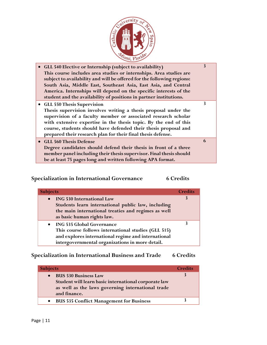

| • GLL 540 Elective or Internship (subject to availability)<br>This course includes area studies or internships. Area studies are<br>subject to availability and will be offered for the following regions:<br>South Asia, Middle East, Southeast Asia, East Asia, and Central<br>America. Internships will depend on the specific interests of the<br>student and the availability of positions in partner institutions. | 3 |
|--------------------------------------------------------------------------------------------------------------------------------------------------------------------------------------------------------------------------------------------------------------------------------------------------------------------------------------------------------------------------------------------------------------------------|---|
| • GLL 550 Thesis Supervision<br>Thesis supervision involves writing a thesis proposal under the<br>supervision of a faculty member or associated research scholar<br>with extensive expertise in the thesis topic. By the end of this<br>course, students should have defended their thesis proposal and<br>prepared their research plan for their final thesis defense.                                                 | 3 |
| • GLL 560 Thesis Defense<br>Degree candidates should defend their thesis in front of a three<br>member panel including their thesis supervisor. Final thesis should<br>be at least 75 pages long and written following APA format.                                                                                                                                                                                       | 6 |

# Specialization in International Governance 6 Credits

| <b>Subjects</b>                                                                                                                                                                                                            | <b>Credits</b> |
|----------------------------------------------------------------------------------------------------------------------------------------------------------------------------------------------------------------------------|----------------|
| <b>ING 530 International Law</b><br>$\bullet$<br>Students learn international public law, including<br>the main international treaties and regimes as well                                                                 | 3              |
| as basic human rights law.<br>• ING 535 Global Governance<br>This course follows international studies (GLL 515)<br>and explores international regime and international<br>intergovernmental organizations in more detail. | 3              |

# Specialization in International Business and Trade 6 Credits

| <b>Subjects</b>                                                                                                                                                       | <b>Credits</b> |
|-----------------------------------------------------------------------------------------------------------------------------------------------------------------------|----------------|
| <b>BUS 530 Business Law</b><br>$\bullet$<br>Student will learn basic international corporate law<br>as well as the laws governing international trade<br>and finance. |                |
| <b>BUS 535 Conflict Management for Business</b>                                                                                                                       |                |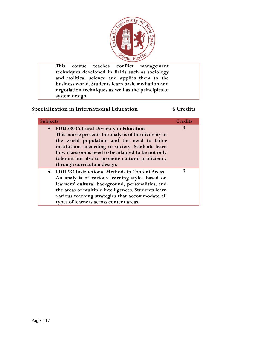

This course teaches conflict management techniques developed in fields such as sociology and political science and applies them to the business world. Students learn basic mediation and negotiation techniques as well as the principles of system design.

### Specialization in International Education 6 Credits

| <b>Subjects</b>                                                                                                                                                                                                                                                                                                                                                 | <b>Credits</b> |
|-----------------------------------------------------------------------------------------------------------------------------------------------------------------------------------------------------------------------------------------------------------------------------------------------------------------------------------------------------------------|----------------|
| <b>EDU 530 Cultural Diversity in Education</b><br>$\bullet$<br>This course presents the analysis of the diversity in<br>the world population and the need to tailor<br>institutions according to society. Students learn<br>how classrooms need to be adapted to be not only<br>tolerant but also to promote cultural proficiency<br>through curriculum design. | 3              |
| • EDU 535 Instructional Methods in Content Areas<br>An analysis of various learning styles based on<br>learners' cultural background, personalities, and<br>the areas of multiple intelligences. Students learn<br>various teaching strategies that accommodate all<br>types of learners across content areas.                                                  | 3              |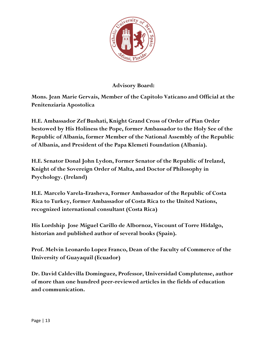

Advisory Board:

Mons. Jean Marie Gervais, Member of the Capitolo Vaticano and Official at the Penitenziaria Apostolica

H.E. Ambassador Zef Bushati, Knight Grand Cross of Order of Pian Order bestowed by His Holiness the Pope, former Ambassador to the Holy See of the Republic of Albania, former Member of the National Assembly of the Republic of Albania, and President of the Papa Klemeti Foundation (Albania).

H.E. Senator Donal John Lydon, Former Senator of the Republic of Ireland, Knight of the Sovereign Order of Malta, and Doctor of Philosophy in Psychology. (Ireland)

H.E. Marcelo Varela-Erasheva, Former Ambassador of the Republic of Costa Rica to Turkey, former Ambassador of Costa Rica to the United Nations, recognized international consultant (Costa Rica)

His Lordship Jose Miguel Carillo de Albornoz, Viscount of Torre Hidalgo, historian and published author of several books (Spain).

Prof. Melvin Leonardo Lopez Franco, Dean of the Faculty of Commerce of the University of Guayaquil (Ecuador)

Dr. David Caldevilla Dominguez, Professor, Universidad Complutense, author of more than one hundred peer-reviewed articles in the fields of education and communication.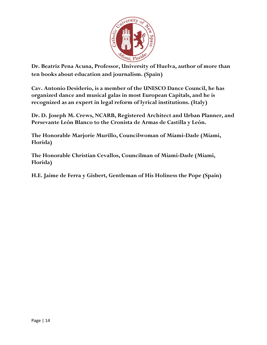

Dr. Beatriz Pena Acuna, Professor, University of Huelva, author of more than ten books about education and journalism. (Spain)

Cav. Antonio Desiderio, is a member of the UNESCO Dance Council, he has organized dance and musical galas in most European Capitals, and he is recognized as an expert in legal reform of lyrical institutions. (Italy)

Dr. D. Joseph M. Crews, NCARB, Registered Architect and Urban Planner, and Persevante León Blanco to the Cronista de Armas de Castilla y León.

The Honorable Marjorie Murillo, Councilwoman of Miami-Dade (Miami, Florida)

The Honorable Christian Cevallos, Councilman of Miami-Dade (Miami, Florida)

H.E. Jaime de Ferra y Gisbert, Gentleman of His Holiness the Pope (Spain)